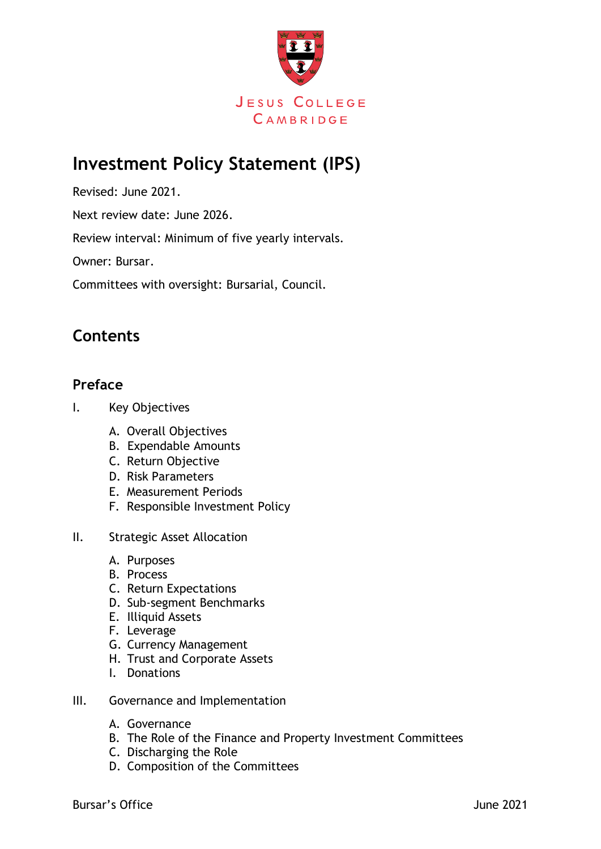

# **Investment Policy Statement (IPS)**

Revised: June 2021.

Next review date: June 2026.

Review interval: Minimum of five yearly intervals.

Owner: Bursar.

Committees with oversight: Bursarial, Council.

### **Contents**

#### **Preface**

- I. Key Objectives
	- A. Overall Objectives
	- B. Expendable Amounts
	- C. Return Objective
	- D. Risk Parameters
	- E. Measurement Periods
	- F. Responsible Investment Policy
- II. Strategic Asset Allocation
	- A. Purposes
	- B. Process
	- C. Return Expectations
	- D. Sub-segment Benchmarks
	- E. Illiquid Assets
	- F. Leverage
	- G. Currency Management
	- H. Trust and Corporate Assets
	- I. Donations
- III. Governance and Implementation
	- A. Governance
	- B. The Role of the Finance and Property Investment Committees
	- C. Discharging the Role
	- D. Composition of the Committees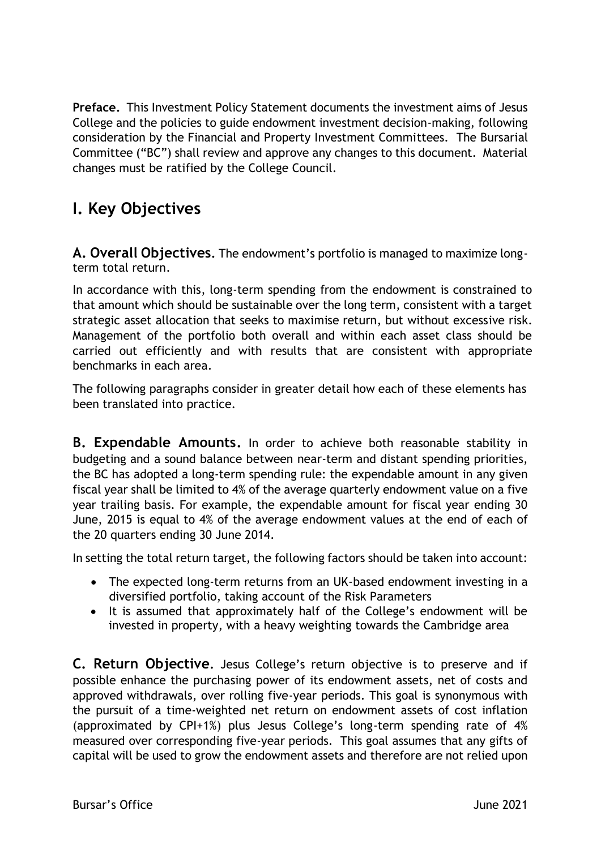**Preface.** This Investment Policy Statement documents the investment aims of Jesus College and the policies to guide endowment investment decision-making, following consideration by the Financial and Property Investment Committees. The Bursarial Committee ("BC") shall review and approve any changes to this document. Material changes must be ratified by the College Council.

## **I. Key Objectives**

**A. Overall Objectives.** The endowment's portfolio is managed to maximize longterm total return.

In accordance with this, long-term spending from the endowment is constrained to that amount which should be sustainable over the long term, consistent with a target strategic asset allocation that seeks to maximise return, but without excessive risk. Management of the portfolio both overall and within each asset class should be carried out efficiently and with results that are consistent with appropriate benchmarks in each area.

The following paragraphs consider in greater detail how each of these elements has been translated into practice.

**B. Expendable Amounts.** In order to achieve both reasonable stability in budgeting and a sound balance between near-term and distant spending priorities, the BC has adopted a long-term spending rule: the expendable amount in any given fiscal year shall be limited to 4% of the average quarterly endowment value on a five year trailing basis. For example, the expendable amount for fiscal year ending 30 June, 2015 is equal to 4% of the average endowment values at the end of each of the 20 quarters ending 30 June 2014.

In setting the total return target, the following factors should be taken into account:

- The expected long-term returns from an UK-based endowment investing in a diversified portfolio, taking account of the Risk Parameters
- It is assumed that approximately half of the College's endowment will be invested in property, with a heavy weighting towards the Cambridge area

**C. Return Objective.** Jesus College's return objective is to preserve and if possible enhance the purchasing power of its endowment assets, net of costs and approved withdrawals, over rolling five-year periods. This goal is synonymous with the pursuit of a time-weighted net return on endowment assets of cost inflation (approximated by CPI+1%) plus Jesus College's long-term spending rate of 4% measured over corresponding five-year periods. This goal assumes that any gifts of capital will be used to grow the endowment assets and therefore are not relied upon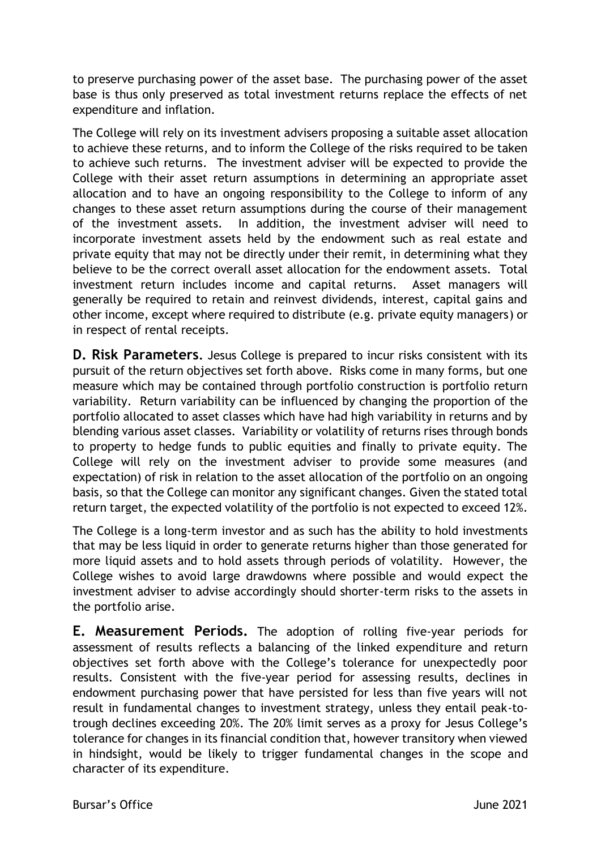to preserve purchasing power of the asset base. The purchasing power of the asset base is thus only preserved as total investment returns replace the effects of net expenditure and inflation.

The College will rely on its investment advisers proposing a suitable asset allocation to achieve these returns, and to inform the College of the risks required to be taken to achieve such returns. The investment adviser will be expected to provide the College with their asset return assumptions in determining an appropriate asset allocation and to have an ongoing responsibility to the College to inform of any changes to these asset return assumptions during the course of their management of the investment assets. In addition, the investment adviser will need to incorporate investment assets held by the endowment such as real estate and private equity that may not be directly under their remit, in determining what they believe to be the correct overall asset allocation for the endowment assets. Total investment return includes income and capital returns. Asset managers will generally be required to retain and reinvest dividends, interest, capital gains and other income, except where required to distribute (e.g. private equity managers) or in respect of rental receipts.

**D. Risk Parameters.** Jesus College is prepared to incur risks consistent with its pursuit of the return objectives set forth above. Risks come in many forms, but one measure which may be contained through portfolio construction is portfolio return variability. Return variability can be influenced by changing the proportion of the portfolio allocated to asset classes which have had high variability in returns and by blending various asset classes. Variability or volatility of returns rises through bonds to property to hedge funds to public equities and finally to private equity. The College will rely on the investment adviser to provide some measures (and expectation) of risk in relation to the asset allocation of the portfolio on an ongoing basis, so that the College can monitor any significant changes. Given the stated total return target, the expected volatility of the portfolio is not expected to exceed 12%.

The College is a long-term investor and as such has the ability to hold investments that may be less liquid in order to generate returns higher than those generated for more liquid assets and to hold assets through periods of volatility. However, the College wishes to avoid large drawdowns where possible and would expect the investment adviser to advise accordingly should shorter-term risks to the assets in the portfolio arise.

**E. Measurement Periods.** The adoption of rolling five-year periods for assessment of results reflects a balancing of the linked expenditure and return objectives set forth above with the College's tolerance for unexpectedly poor results. Consistent with the five-year period for assessing results, declines in endowment purchasing power that have persisted for less than five years will not result in fundamental changes to investment strategy, unless they entail peak-totrough declines exceeding 20%. The 20% limit serves as a proxy for Jesus College's tolerance for changes in its financial condition that, however transitory when viewed in hindsight, would be likely to trigger fundamental changes in the scope and character of its expenditure.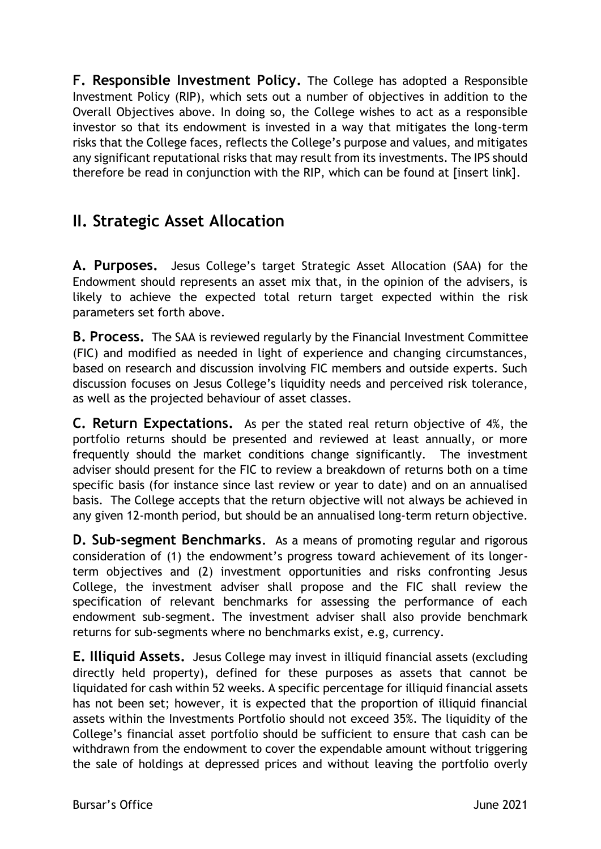**F. Responsible Investment Policy.** The College has adopted a Responsible Investment Policy (RIP), which sets out a number of objectives in addition to the Overall Objectives above. In doing so, the College wishes to act as a responsible investor so that its endowment is invested in a way that mitigates the long-term risks that the College faces, reflects the College's purpose and values, and mitigates any significant reputational risks that may result from its investments. The IPS should therefore be read in conjunction with the RIP, which can be found at [insert link].

### **II. Strategic Asset Allocation**

**A. Purposes.** Jesus College's target Strategic Asset Allocation (SAA) for the Endowment should represents an asset mix that, in the opinion of the advisers, is likely to achieve the expected total return target expected within the risk parameters set forth above.

**B. Process.** The SAA is reviewed regularly by the Financial Investment Committee (FIC) and modified as needed in light of experience and changing circumstances, based on research and discussion involving FIC members and outside experts. Such discussion focuses on Jesus College's liquidity needs and perceived risk tolerance, as well as the projected behaviour of asset classes.

**C. Return Expectations.** As per the stated real return objective of 4%, the portfolio returns should be presented and reviewed at least annually, or more frequently should the market conditions change significantly. The investment adviser should present for the FIC to review a breakdown of returns both on a time specific basis (for instance since last review or year to date) and on an annualised basis. The College accepts that the return objective will not always be achieved in any given 12-month period, but should be an annualised long-term return objective.

**D. Sub-segment Benchmarks.** As a means of promoting regular and rigorous consideration of (1) the endowment's progress toward achievement of its longerterm objectives and (2) investment opportunities and risks confronting Jesus College, the investment adviser shall propose and the FIC shall review the specification of relevant benchmarks for assessing the performance of each endowment sub-segment. The investment adviser shall also provide benchmark returns for sub-segments where no benchmarks exist, e.g, currency.

**E. Illiquid Assets.** Jesus College may invest in illiquid financial assets (excluding directly held property), defined for these purposes as assets that cannot be liquidated for cash within 52 weeks. A specific percentage for illiquid financial assets has not been set; however, it is expected that the proportion of illiquid financial assets within the Investments Portfolio should not exceed 35%. The liquidity of the College's financial asset portfolio should be sufficient to ensure that cash can be withdrawn from the endowment to cover the expendable amount without triggering the sale of holdings at depressed prices and without leaving the portfolio overly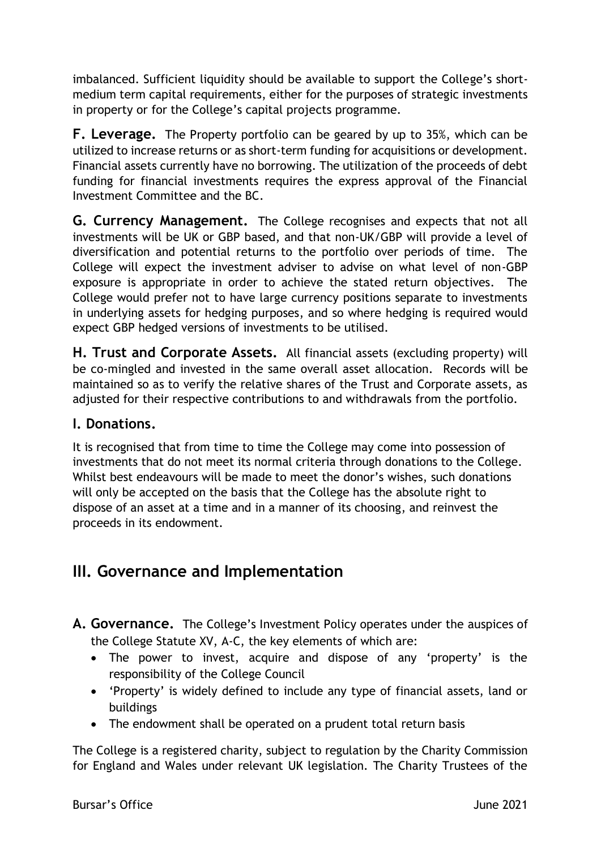imbalanced. Sufficient liquidity should be available to support the College's shortmedium term capital requirements, either for the purposes of strategic investments in property or for the College's capital projects programme.

**F. Leverage.** The Property portfolio can be geared by up to 35%, which can be utilized to increase returns or as short-term funding for acquisitions or development. Financial assets currently have no borrowing. The utilization of the proceeds of debt funding for financial investments requires the express approval of the Financial Investment Committee and the BC.

**G. Currency Management.** The College recognises and expects that not all investments will be UK or GBP based, and that non-UK/GBP will provide a level of diversification and potential returns to the portfolio over periods of time. The College will expect the investment adviser to advise on what level of non-GBP exposure is appropriate in order to achieve the stated return objectives. The College would prefer not to have large currency positions separate to investments in underlying assets for hedging purposes, and so where hedging is required would expect GBP hedged versions of investments to be utilised.

**H. Trust and Corporate Assets.** All financial assets (excluding property) will be co-mingled and invested in the same overall asset allocation. Records will be maintained so as to verify the relative shares of the Trust and Corporate assets, as adjusted for their respective contributions to and withdrawals from the portfolio.

#### **I. Donations.**

It is recognised that from time to time the College may come into possession of investments that do not meet its normal criteria through donations to the College. Whilst best endeavours will be made to meet the donor's wishes, such donations will only be accepted on the basis that the College has the absolute right to dispose of an asset at a time and in a manner of its choosing, and reinvest the proceeds in its endowment.

### **III. Governance and Implementation**

- **A. Governance.** The College's Investment Policy operates under the auspices of the College Statute XV, A-C, the key elements of which are:
	- The power to invest, acquire and dispose of any 'property' is the responsibility of the College Council
	- 'Property' is widely defined to include any type of financial assets, land or buildings
	- The endowment shall be operated on a prudent total return basis

The College is a registered charity, subject to regulation by the Charity Commission for England and Wales under relevant UK legislation. The Charity Trustees of the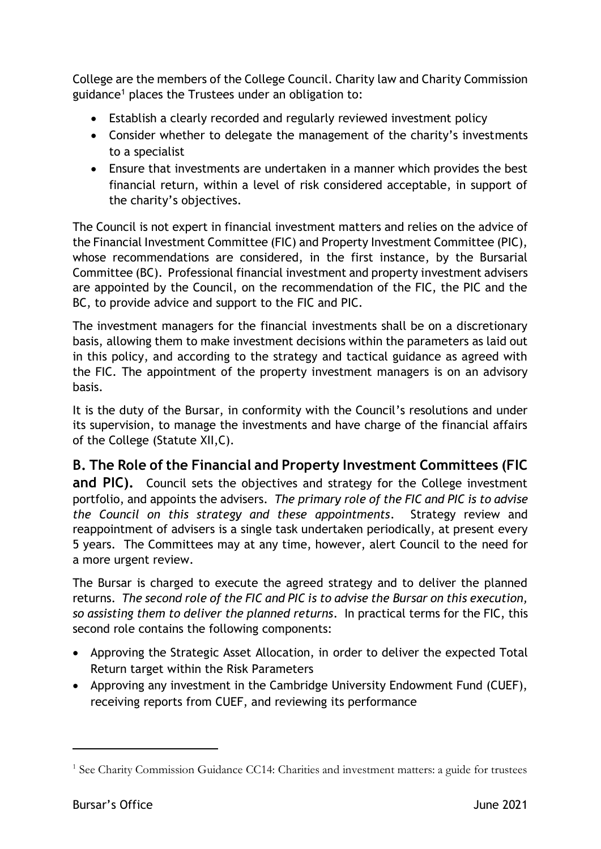College are the members of the College Council. Charity law and Charity Commission guidance<sup>1</sup> places the Trustees under an obligation to:

- Establish a clearly recorded and regularly reviewed investment policy
- Consider whether to delegate the management of the charity's investments to a specialist
- Ensure that investments are undertaken in a manner which provides the best financial return, within a level of risk considered acceptable, in support of the charity's objectives.

The Council is not expert in financial investment matters and relies on the advice of the Financial Investment Committee (FIC) and Property Investment Committee (PIC), whose recommendations are considered, in the first instance, by the Bursarial Committee (BC). Professional financial investment and property investment advisers are appointed by the Council, on the recommendation of the FIC, the PIC and the BC, to provide advice and support to the FIC and PIC.

The investment managers for the financial investments shall be on a discretionary basis, allowing them to make investment decisions within the parameters as laid out in this policy, and according to the strategy and tactical guidance as agreed with the FIC. The appointment of the property investment managers is on an advisory basis.

It is the duty of the Bursar, in conformity with the Council's resolutions and under its supervision, to manage the investments and have charge of the financial affairs of the College (Statute XII,C).

**B. The Role of the Financial and Property Investment Committees (FIC and PIC).** Council sets the objectives and strategy for the College investment portfolio, and appoints the advisers. *The primary role of the FIC and PIC is to advise the Council on this strategy and these appointments*. Strategy review and reappointment of advisers is a single task undertaken periodically, at present every 5 years. The Committees may at any time, however, alert Council to the need for a more urgent review.

The Bursar is charged to execute the agreed strategy and to deliver the planned returns. *The second role of the FIC and PIC is to advise the Bursar on this execution, so assisting them to deliver the planned returns*. In practical terms for the FIC, this second role contains the following components:

- Approving the Strategic Asset Allocation, in order to deliver the expected Total Return target within the Risk Parameters
- Approving any investment in the Cambridge University Endowment Fund (CUEF), receiving reports from CUEF, and reviewing its performance

-

<sup>&</sup>lt;sup>1</sup> See Charity Commission Guidance CC14: Charities and investment matters: a guide for trustees